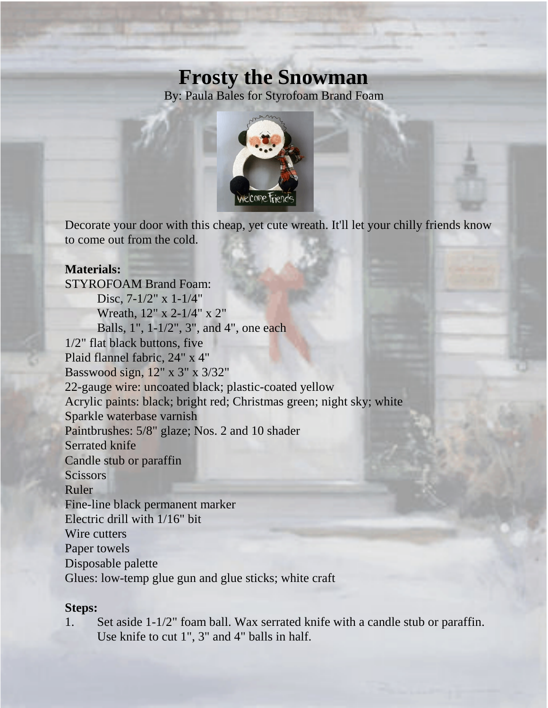## **Frosty the Snowman**

By: Paula Bales for Styrofoam Brand Foam



Decorate your door with this cheap, yet cute wreath. It'll let your chilly friends know to come out from the cold.

## **Materials:**

STYROFOAM Brand Foam: Disc, 7-1/2" x 1-1/4" Wreath, 12" x 2-1/4" x 2" Balls, 1", 1-1/2", 3", and 4", one each 1/2" flat black buttons, five Plaid flannel fabric, 24" x 4" Basswood sign, 12" x 3" x 3/32" 22-gauge wire: uncoated black; plastic-coated yellow Acrylic paints: black; bright red; Christmas green; night sky; white Sparkle waterbase varnish Paintbrushes: 5/8" glaze; Nos. 2 and 10 shader Serrated knife Candle stub or paraffin **Scissors** Ruler Fine-line black permanent marker Electric drill with 1/16" bit Wire cutters Paper towels Disposable palette Glues: low-temp glue gun and glue sticks; white craft

## **Steps:**

1. Set aside 1-1/2" foam ball. Wax serrated knife with a candle stub or paraffin. Use knife to cut 1", 3" and 4" balls in half.